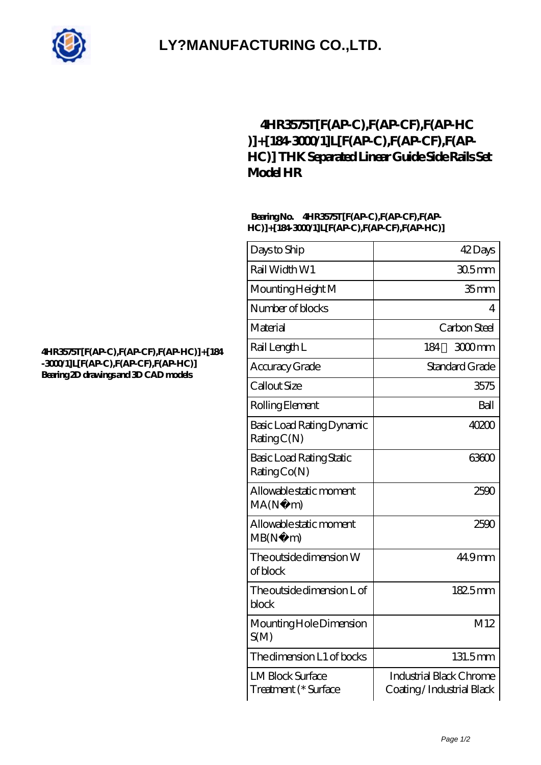

## **[LY?MANUFACTURING CO.,LTD.](https://gdet.net.cn)**

### **[4HR3575T\[F\(AP-C\),F\(AP-CF\),F\(AP-HC](https://gdet.net.cn/curved-linear-guide/4hr3575t-f-ap-c-f-ap-cf-f-ap-hc-184-3000-1-l-f-ap-c-f-ap-cf-f-ap-hc.html) [\)\]+\[184-3000/1\]L\[F\(AP-C\),F\(AP-CF\),F\(AP-](https://gdet.net.cn/curved-linear-guide/4hr3575t-f-ap-c-f-ap-cf-f-ap-hc-184-3000-1-l-f-ap-c-f-ap-cf-f-ap-hc.html)[HC\)\] THK Separated Linear Guide Side Rails Set](https://gdet.net.cn/curved-linear-guide/4hr3575t-f-ap-c-f-ap-cf-f-ap-hc-184-3000-1-l-f-ap-c-f-ap-cf-f-ap-hc.html) [Model HR](https://gdet.net.cn/curved-linear-guide/4hr3575t-f-ap-c-f-ap-cf-f-ap-hc-184-3000-1-l-f-ap-c-f-ap-cf-f-ap-hc.html)**

#### **Bearing No. 4HR3575T[F(AP-C),F(AP-CF),F(AP-HC)]+[184-3000/1]L[F(AP-C),F(AP-CF),F(AP-HC)]**

| Days to Ship                                    | 42Days                                                     |
|-------------------------------------------------|------------------------------------------------------------|
| Rail Width W1                                   | 305 <sub>mm</sub>                                          |
| Mounting Height M                               | 35 <sub>mm</sub>                                           |
| Number of blocks                                | 4                                                          |
| Material                                        | Carbon Steel                                               |
| Rail Length L                                   | 184<br>3000mm                                              |
| Accuracy Grade                                  | Standard Grade                                             |
| <b>Callout Size</b>                             | 3575                                                       |
| Rolling Element                                 | Ball                                                       |
| Basic Load Rating Dynamic<br>RatingC(N)         | 40200                                                      |
| Basic Load Rating Static<br>RatingCo(N)         | 63600                                                      |
| Allowable static moment<br>MA(N·)<br>m)         | 2590                                                       |
| Allowable static moment<br>MB(N.<br>m)          | 2590                                                       |
| The outside dimension W<br>of block             | 449mm                                                      |
| The outside dimension L of<br>block             | 1825mm                                                     |
| Mounting Hole Dimension<br>S(M)                 | M12                                                        |
| The dimension L1 of bocks                       | 131.5mm                                                    |
| <b>LM Block Surface</b><br>Treatment (* Surface | <b>Industrial Black Chrome</b><br>Coating/Industrial Black |

#### **[4HR3575T\[F\(AP-C\),F\(AP-CF\),F\(AP-HC\)\]+\[184](https://gdet.net.cn/pic-691481.html) [-3000/1\]L\[F\(AP-C\),F\(AP-CF\),F\(AP-HC\)\]](https://gdet.net.cn/pic-691481.html) [Bearing 2D drawings and 3D CAD models](https://gdet.net.cn/pic-691481.html)**